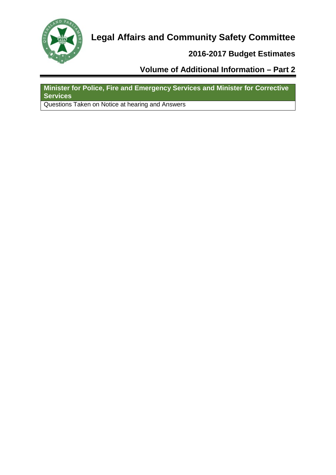

**Legal Affairs and Community Safety Committee**

**2016-2017 Budget Estimates**

**Volume of Additional Information – Part 2**

**Minister for Police, Fire and Emergency Services and Minister for Corrective Services**

Questions Taken on Notice at hearing and Answers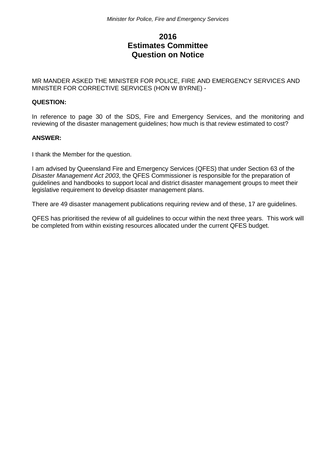MR MANDER ASKED THE MINISTER FOR POLICE, FIRE AND EMERGENCY SERVICES AND MINISTER FOR CORRECTIVE SERVICES (HON W BYRNE) -

## **QUESTION:**

In reference to page 30 of the SDS, Fire and Emergency Services, and the monitoring and reviewing of the disaster management guidelines; how much is that review estimated to cost?

### **ANSWER:**

I thank the Member for the question.

I am advised by Queensland Fire and Emergency Services (QFES) that under Section 63 of the *Disaster Management Act 2003*, the QFES Commissioner is responsible for the preparation of guidelines and handbooks to support local and district disaster management groups to meet their legislative requirement to develop disaster management plans.

There are 49 disaster management publications requiring review and of these, 17 are guidelines.

QFES has prioritised the review of all guidelines to occur within the next three years. This work will be completed from within existing resources allocated under the current QFES budget.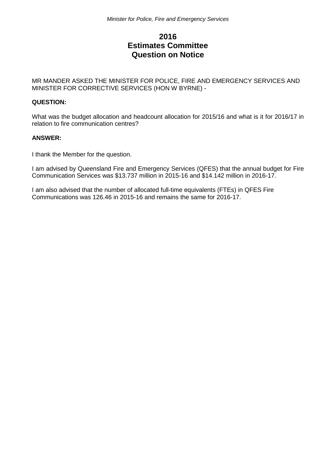MR MANDER ASKED THE MINISTER FOR POLICE, FIRE AND EMERGENCY SERVICES AND MINISTER FOR CORRECTIVE SERVICES (HON W BYRNE) -

## **QUESTION:**

What was the budget allocation and headcount allocation for 2015/16 and what is it for 2016/17 in relation to fire communication centres?

### **ANSWER:**

I thank the Member for the question.

I am advised by Queensland Fire and Emergency Services (QFES) that the annual budget for Fire Communication Services was \$13.737 million in 2015-16 and \$14.142 million in 2016-17.

I am also advised that the number of allocated full-time equivalents (FTEs) in QFES Fire Communications was 126.46 in 2015-16 and remains the same for 2016-17.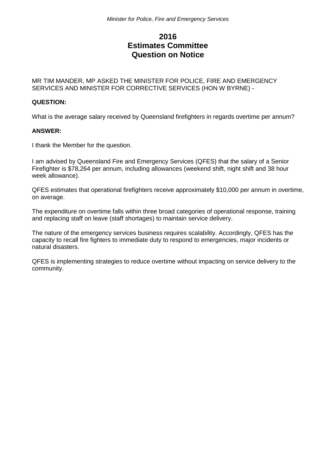MR TIM MANDER, MP ASKED THE MINISTER FOR POLICE, FIRE AND EMERGENCY SERVICES AND MINISTER FOR CORRECTIVE SERVICES (HON W BYRNE) -

### **QUESTION:**

What is the average salary received by Queensland firefighters in regards overtime per annum?

### **ANSWER:**

I thank the Member for the question.

I am advised by Queensland Fire and Emergency Services (QFES) that the salary of a Senior Firefighter is \$78,264 per annum, including allowances (weekend shift, night shift and 38 hour week allowance).

QFES estimates that operational firefighters receive approximately \$10,000 per annum in overtime, on average.

The expenditure on overtime falls within three broad categories of operational response, training and replacing staff on leave (staff shortages) to maintain service delivery.

The nature of the emergency services business requires scalability. Accordingly, QFES has the capacity to recall fire fighters to immediate duty to respond to emergencies, major incidents or natural disasters.

QFES is implementing strategies to reduce overtime without impacting on service delivery to the community.